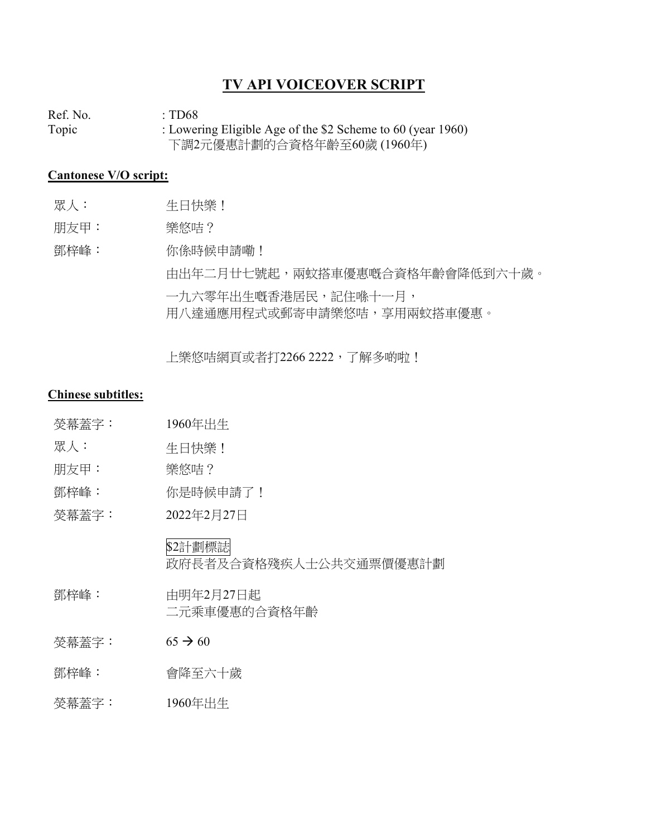## **TV API VOICEOVER SCRIPT**

Ref. No.  $\qquad \qquad : TD68$ Topic : Lowering Eligible Age of the \$2 Scheme to 60 (year 1960) 下調2元優惠計劃的合資格年齡至60歲 (1960年)

## **Cantonese V/O script:**

- 眾人: 生日快樂!
- 朋友甲: 樂悠咭?

鄧梓峰: 你係時候申請嘞! 由出年二月廿七號起,兩蚊搭車優惠嘅合資格年齡會降低到六十歲。 一九六零年出生嘅香港居民,記住喺十一月, 用八達通應用程式或郵寄申請樂悠咭,享用兩蚊搭車優惠。

上樂悠咭網頁或者打2266 2222, 了解多啲啦!

## **Chinese subtitles:**

- 熒幕蓋字: 1960年出生
- 眾人: 生日快樂!
- 朋友甲: 樂悠咭?
- 鄧梓峰: 你是時候申請了!
- 熒幕蓋字: 2022年2月27日

\$2計劃標誌 政府長者及合資格殘疾人士公共交通票價優惠計劃

- 鄧梓峰: 由明年2月27日起 二元乘車優惠的合資格年齡
- $<sup><sup><sup><</sup></sup></sup>$ 娄幕蓋字: 65 → 60</sup>
- 鄧梓峰: 會降至六十歲
- 熒幕蓋字: 1960年出生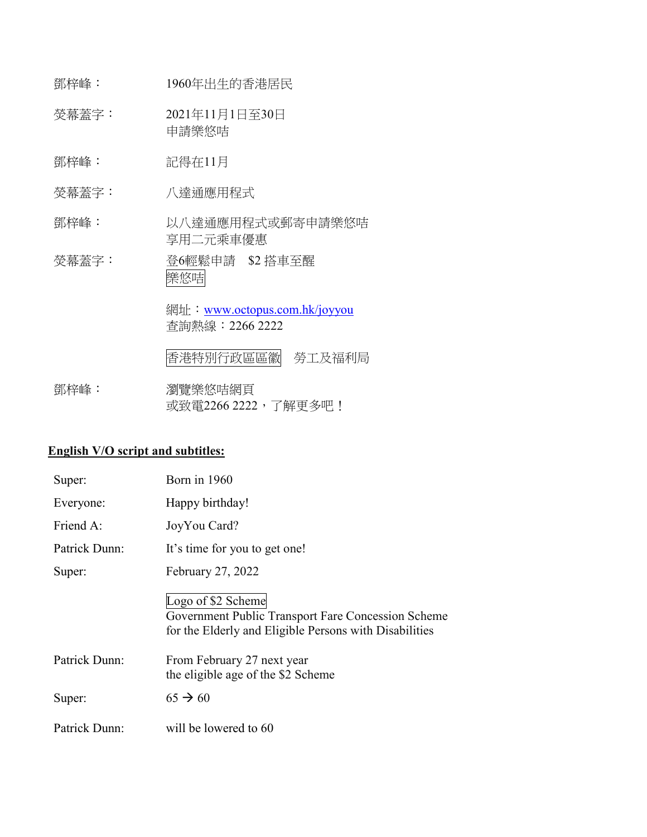- 鄧梓峰: 1960年出生的香港居民
- 熒幕蓋字: 2021年11月1日至30日 申請樂悠咭
- 鄧梓峰: 記得在11月
- 熒幕蓋字: 八達通應用程式
- 鄧梓峰: 以八達通應用程式或郵寄申請樂悠咭 享用二元乘車優惠
- 熒幕蓋字: 登6輕鬆申請 \$2 搭車至醒 樂悠咭

網址: [www.octopus.com.hk/joyyou](http://www.octopus.com.hk/joyyou) 查詢熱線:2266 2222

香港特別行政區區徽 勞工及福利局

鄧梓峰: 瀏覽樂悠咭網頁 或致電2266 2222, 了解更多吧!

## **English V/O script and subtitles:**

| Super:        | Born in 1960                                                                                                                       |
|---------------|------------------------------------------------------------------------------------------------------------------------------------|
| Everyone:     | Happy birthday!                                                                                                                    |
| Friend A:     | JoyYou Card?                                                                                                                       |
| Patrick Dunn: | It's time for you to get one!                                                                                                      |
| Super:        | February 27, 2022                                                                                                                  |
|               | Logo of \$2 Scheme<br>Government Public Transport Fare Concession Scheme<br>for the Elderly and Eligible Persons with Disabilities |
| Patrick Dunn: | From February 27 next year<br>the eligible age of the \$2 Scheme                                                                   |
| Super:        | $65 \rightarrow 60$                                                                                                                |
| Patrick Dunn: | will be lowered to 60                                                                                                              |